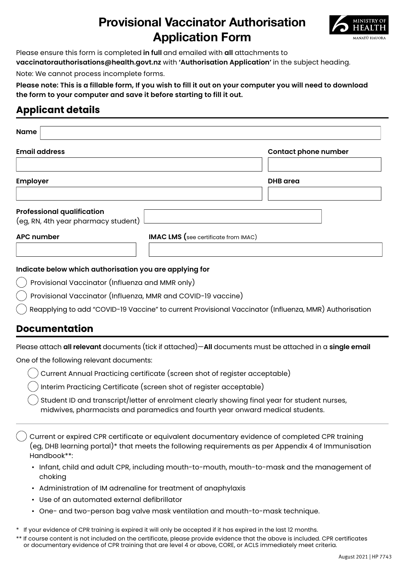# **Provisional Vaccinator Authorisation Application Form**



Please ensure this form is completed **in full** and emailed with **all** attachments to **vaccinatorauthorisations@health.govt.nz** with **'Authorisation Application'** in the subject heading.

Note: We cannot process incomplete forms.

**Please note: This is a fillable form, If you wish to fill it out on your computer you will need to download the form to your computer and save it before starting to fill it out.**

## **Applicant details**

| <b>Contact phone number</b>                 |  |
|---------------------------------------------|--|
|                                             |  |
| <b>DHB</b> area                             |  |
|                                             |  |
|                                             |  |
|                                             |  |
| <b>IMAC LMS</b> (see certificate from IMAC) |  |
|                                             |  |

#### **Indicate below which authorisation you are applying for**

- Provisional Vaccinator (Influenza and MMR only)
- Provisional Vaccinator (Influenza, MMR and COVID-19 vaccine)
- Reapplying to add "COVID-19 Vaccine" to current Provisional Vaccinator (Influenza, MMR) Authorisation

### **Documentation**

Please attach **all relevant** documents (tick if attached)—**All** documents must be attached in a **single email**

One of the following relevant documents:

- Current Annual Practicing certificate (screen shot of register acceptable)
- Interim Practicing Certificate (screen shot of register acceptable)
- Student ID and transcript/letter of enrolment clearly showing final year for student nurses, midwives, pharmacists and paramedics and fourth year onward medical students.

Current or expired CPR certificate or equivalent documentary evidence of completed CPR training (eg, DHB learning portal)\* that meets the following requirements as per Appendix 4 of Immunisation Handbook\*\*:

- Infant, child and adult CPR, including mouth-to-mouth, mouth-to-mask and the management of choking
- Administration of IM adrenaline for treatment of anaphylaxis
- Use of an automated external defibrillator
- One- and two-person bag valve mask ventilation and mouth-to-mask technique.
- \* If your evidence of CPR training is expired it will only be accepted if it has expired in the last 12 months.
- \*\* If course content is not included on the certificate, please provide evidence that the above is included. CPR certificates or documentary evidence of CPR training that are level 4 or above, CORE, or ACLS immediately meet criteria.